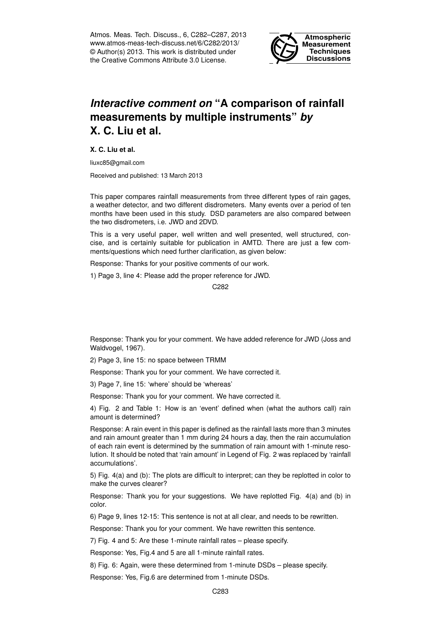Atmos. Meas. Tech. Discuss., 6, C282–C287, 2013 www.atmos-meas-tech-discuss.net/6/C282/2013/ © Author(s) 2013. This work is distributed under the Creative Commons Attribute 3.0 License.



## *Interactive comment on* **"A comparison of rainfall measurements by multiple instruments"** *by* **X. C. Liu et al.**

**X. C. Liu et al.**

liuxc85@gmail.com

Received and published: 13 March 2013

This paper compares rainfall measurements from three different types of rain gages, a weather detector, and two different disdrometers. Many events over a period of ten months have been used in this study. DSD parameters are also compared between the two disdrometers, i.e. JWD and 2DVD.

This is a very useful paper, well written and well presented, well structured, concise, and is certainly suitable for publication in AMTD. There are just a few comments/questions which need further clarification, as given below:

Response: Thanks for your positive comments of our work.

1) Page 3, line 4: Please add the proper reference for JWD.

C282

Response: Thank you for your comment. We have added reference for JWD (Joss and Waldvogel, 1967).

2) Page 3, line 15: no space between TRMM

Response: Thank you for your comment. We have corrected it.

3) Page 7, line 15: 'where' should be 'whereas'

Response: Thank you for your comment. We have corrected it.

4) Fig. 2 and Table 1: How is an 'event' defined when (what the authors call) rain amount is determined?

Response: A rain event in this paper is defined as the rainfall lasts more than 3 minutes and rain amount greater than 1 mm during 24 hours a day, then the rain accumulation of each rain event is determined by the summation of rain amount with 1-minute resolution. It should be noted that 'rain amount' in Legend of Fig. 2 was replaced by 'rainfall accumulations'.

5) Fig. 4(a) and (b): The plots are difficult to interpret; can they be replotted in color to make the curves clearer?

Response: Thank you for your suggestions. We have replotted Fig. 4(a) and (b) in color.

6) Page 9, lines 12-15: This sentence is not at all clear, and needs to be rewritten.

Response: Thank you for your comment. We have rewritten this sentence.

7) Fig. 4 and 5: Are these 1-minute rainfall rates – please specify.

Response: Yes, Fig.4 and 5 are all 1-minute rainfall rates.

8) Fig. 6: Again, were these determined from 1-minute DSDs – please specify.

Response: Yes, Fig.6 are determined from 1-minute DSDs.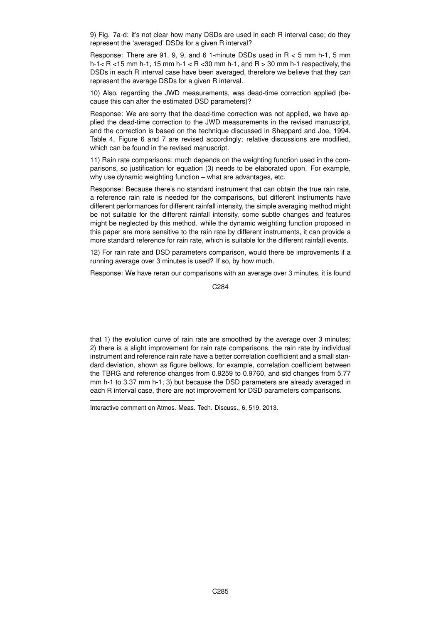9) Fig. 7a-d: it's not clear how many DSDs are used in each R interval case; do they represent the 'averaged' DSDs for a given R interval?

Response: There are 91, 9, 9, and 6 1-minute DSDs used in R < 5 mm h-1, 5 mm h-1  $<$  R  $<$  15 mm h-1, 15 mm h-1  $<$  R  $<$  30 mm h-1, and R  $>$  30 mm h-1 respectively, the DSDs in each R interval case have been averaged, therefore we believe that they can represent the average DSDs for a given R interval.

10) Also, regarding the JWD measurements, was dead-time correction applied (because this can alter the estimated DSD parameters)?

Response: We are sorry that the dead-time correction was not applied, we have applied the dead-time correction to the JWD measurements in the revised manuscript, and the correction is based on the technique discussed in Sheppard and Joe, 1994. Table 4, Figure 6 and 7 are revised accordingly; relative discussions are modified, which can be found in the revised manuscript.

11) Rain rate comparisons: much depends on the weighting function used in the comparisons, so justification for equation (3) needs to be elaborated upon. For example, why use dynamic weighting function – what are advantages, etc.

Response: Because there's no standard instrument that can obtain the true rain rate, a reference rain rate is needed for the comparisons, but different instruments have different performances for different rainfall intensity, the simple averaging method might be not suitable for the different rainfall intensity, some subtle changes and features might be neglected by this method. while the dynamic weighting function proposed in this paper are more sensitive to the rain rate by different instruments, it can provide a more standard reference for rain rate, which is suitable for the different rainfall events.

12) For rain rate and DSD parameters comparison, would there be improvements if a running average over 3 minutes is used? If so, by how much.

Response: We have reran our comparisons with an average over 3 minutes, it is found

C284

that 1) the evolution curve of rain rate are smoothed by the average over 3 minutes; 2) there is a slight improvement for rain rate comparisons, the rain rate by individual instrument and reference rain rate have a better correlation coefficient and a small standard deviation, shown as figure bellows, for example, correlation coefficient between the TBRG and reference changes from 0.9259 to 0.9760, and std changes from 5.77 mm h-1 to 3.37 mm h-1; 3) but because the DSD parameters are already averaged in each R interval case, there are not improvement for DSD parameters comparisons.

Interactive comment on Atmos. Meas. Tech. Discuss., 6, 519, 2013.